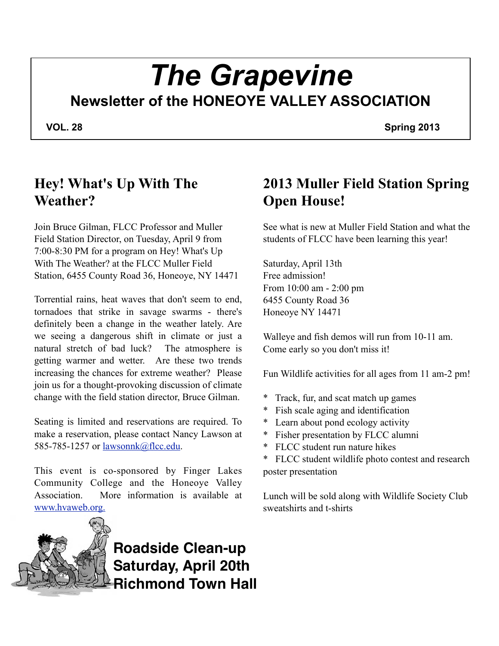# *The Grapevine* **Newsletter of the HONEOYE VALLEY ASSOCIATION**

 **VOL. 28 Spring 2013**

## **Hey! What's Up With The Weather?**

Join Bruce Gilman, FLCC Professor and Muller Field Station Director, on Tuesday, April 9 from 7:00-8:30 PM for a program on Hey! What's Up With The Weather? at the FLCC Muller Field Station, 6455 County Road 36, Honeoye, NY 14471

Torrential rains, heat waves that don't seem to end, tornadoes that strike in savage swarms - there's definitely been a change in the weather lately. Are we seeing a dangerous shift in climate or just a natural stretch of bad luck? The atmosphere is getting warmer and wetter. Are these two trends increasing the chances for extreme weather? Please join us for a thought-provoking discussion of climate change with the field station director, Bruce Gilman.

Seating is limited and reservations are required. To make a reservation, please contact Nancy Lawson at 585-785-1257 or <u>lawsonnk@flcc.edu</u>.

This event is co-sponsored by Finger Lakes Community College and the Honeoye Valley Association. More information is available at [www.hvaweb.org.](http://webmail.rochester.rr.com/do/redirect?url=http%253A%252F%252Fwww.hvaweb.org.)



**Roadside Clean-up Saturday, April 20th Richmond Town Hall**

## **2013 Muller Field Station Spring Open House!**

See what is new at Muller Field Station and what the students of FLCC have been learning this year!

Saturday, April 13th Free admission! From 10:00 am - 2:00 pm 6455 County Road 36 Honeoye NY 14471

Walleye and fish demos will run from 10-11 am. Come early so you don't miss it!

Fun Wildlife activities for all ages from 11 am-2 pm!

- Track, fur, and scat match up games
- Fish scale aging and identification
- \* Learn about pond ecology activity
- \* Fisher presentation by FLCC alumni
- FLCC student run nature hikes
- FLCC student wildlife photo contest and research poster presentation

Lunch will be sold along with Wildlife Society Club sweatshirts and t-shirts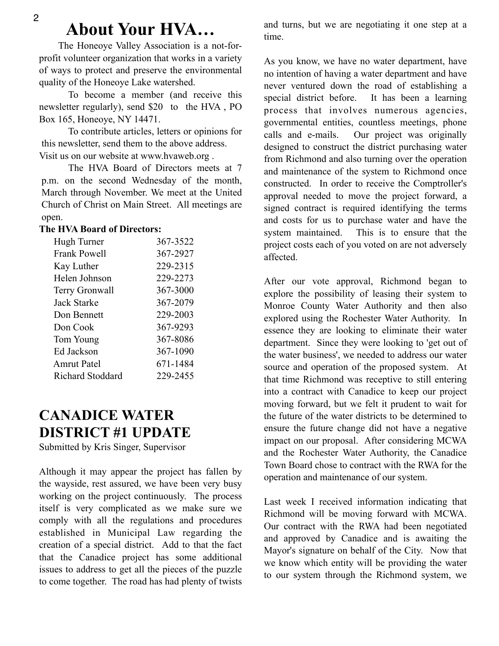## **About Your HVA…**

 The Honeoye Valley Association is a not-forprofit volunteer organization that works in a variety of ways to protect and preserve the environmental quality of the Honeoye Lake watershed.

 To become a member (and receive this newsletter regularly), send \$20 to the HVA , PO Box 165, Honeoye, NY 14471.

 To contribute articles, letters or opinions for this newsletter, send them to the above address. Visit us on our website at www.hvaweb.org .

 The HVA Board of Directors meets at 7 p.m. on the second Wednesday of the month, March through November. We meet at the United Church of Christ on Main Street. All meetings are open.

#### **The HVA Board of Directors:**

| 367-3522 |
|----------|
| 367-2927 |
| 229-2315 |
| 229-2273 |
| 367-3000 |
| 367-2079 |
| 229-2003 |
| 367-9293 |
| 367-8086 |
| 367-1090 |
| 671-1484 |
| 229-2455 |
|          |

#### **CANADICE WATER DISTRICT #1 UPDATE**

Submitted by Kris Singer, Supervisor

Although it may appear the project has fallen by the wayside, rest assured, we have been very busy working on the project continuously. The process itself is very complicated as we make sure we comply with all the regulations and procedures established in Municipal Law regarding the creation of a special district. Add to that the fact that the Canadice project has some additional issues to address to get all the pieces of the puzzle to come together. The road has had plenty of twists and turns, but we are negotiating it one step at a time.

As you know, we have no water department, have no intention of having a water department and have never ventured down the road of establishing a special district before. It has been a learning process that involves numerous agencies, governmental entities, countless meetings, phone calls and e-mails. Our project was originally designed to construct the district purchasing water from Richmond and also turning over the operation and maintenance of the system to Richmond once constructed. In order to receive the Comptroller's approval needed to move the project forward, a signed contract is required identifying the terms and costs for us to purchase water and have the system maintained. This is to ensure that the project costs each of you voted on are not adversely affected.

After our vote approval, Richmond began to explore the possibility of leasing their system to Monroe County Water Authority and then also explored using the Rochester Water Authority. In essence they are looking to eliminate their water department. Since they were looking to 'get out of the water business', we needed to address our water source and operation of the proposed system. At that time Richmond was receptive to still entering into a contract with Canadice to keep our project moving forward, but we felt it prudent to wait for the future of the water districts to be determined to ensure the future change did not have a negative impact on our proposal. After considering MCWA and the Rochester Water Authority, the Canadice Town Board chose to contract with the RWA for the operation and maintenance of our system.

Last week I received information indicating that Richmond will be moving forward with MCWA. Our contract with the RWA had been negotiated and approved by Canadice and is awaiting the Mayor's signature on behalf of the City. Now that we know which entity will be providing the water to our system through the Richmond system, we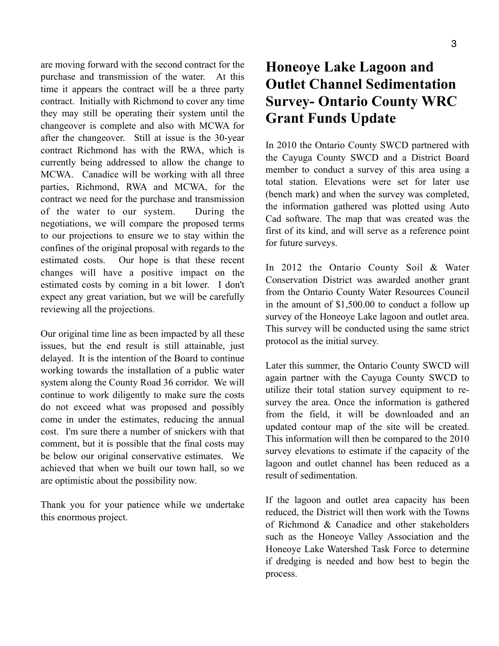are moving forward with the second contract for the purchase and transmission of the water. At this time it appears the contract will be a three party contract. Initially with Richmond to cover any time they may still be operating their system until the changeover is complete and also with MCWA for after the changeover. Still at issue is the 30-year contract Richmond has with the RWA, which is currently being addressed to allow the change to MCWA. Canadice will be working with all three parties, Richmond, RWA and MCWA, for the contract we need for the purchase and transmission of the water to our system. During the negotiations, we will compare the proposed terms to our projections to ensure we to stay within the confines of the original proposal with regards to the estimated costs. Our hope is that these recent changes will have a positive impact on the estimated costs by coming in a bit lower. I don't expect any great variation, but we will be carefully reviewing all the projections.

Our original time line as been impacted by all these issues, but the end result is still attainable, just delayed. It is the intention of the Board to continue working towards the installation of a public water system along the County Road 36 corridor. We will continue to work diligently to make sure the costs do not exceed what was proposed and possibly come in under the estimates, reducing the annual cost. I'm sure there a number of snickers with that comment, but it is possible that the final costs may be below our original conservative estimates. We achieved that when we built our town hall, so we are optimistic about the possibility now.

Thank you for your patience while we undertake this enormous project.

#### **Honeoye Lake Lagoon and Outlet Channel Sedimentation Survey- Ontario County WRC Grant Funds Update**

In 2010 the Ontario County SWCD partnered with the Cayuga County SWCD and a District Board member to conduct a survey of this area using a total station. Elevations were set for later use (bench mark) and when the survey was completed, the information gathered was plotted using Auto Cad software. The map that was created was the first of its kind, and will serve as a reference point for future surveys.

In 2012 the Ontario County Soil & Water Conservation District was awarded another grant from the Ontario County Water Resources Council in the amount of \$1,500.00 to conduct a follow up survey of the Honeoye Lake lagoon and outlet area. This survey will be conducted using the same strict protocol as the initial survey.

Later this summer, the Ontario County SWCD will again partner with the Cayuga County SWCD to utilize their total station survey equipment to resurvey the area. Once the information is gathered from the field, it will be downloaded and an updated contour map of the site will be created. This information will then be compared to the 2010 survey elevations to estimate if the capacity of the lagoon and outlet channel has been reduced as a result of sedimentation.

If the lagoon and outlet area capacity has been reduced, the District will then work with the Towns of Richmond & Canadice and other stakeholders such as the Honeoye Valley Association and the Honeoye Lake Watershed Task Force to determine if dredging is needed and how best to begin the process.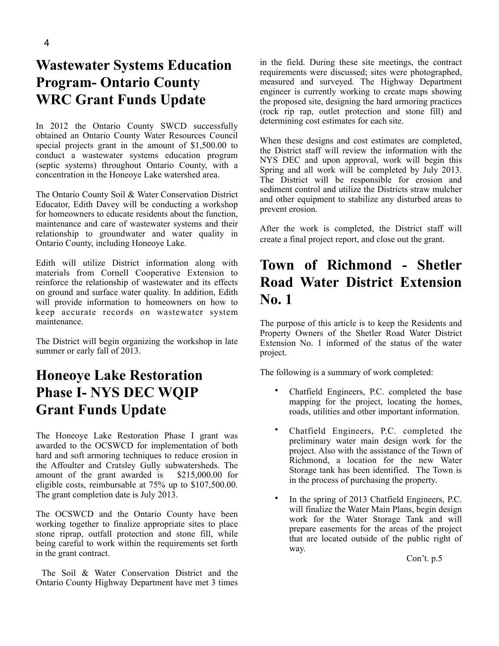#### **Wastewater Systems Education Program- Ontario County WRC Grant Funds Update**

In 2012 the Ontario County SWCD successfully obtained an Ontario County Water Resources Council special projects grant in the amount of \$1,500.00 to conduct a wastewater systems education program (septic systems) throughout Ontario County, with a concentration in the Honeoye Lake watershed area.

The Ontario County Soil & Water Conservation District Educator, Edith Davey will be conducting a workshop for homeowners to educate residents about the function, maintenance and care of wastewater systems and their relationship to groundwater and water quality in Ontario County, including Honeoye Lake.

Edith will utilize District information along with materials from Cornell Cooperative Extension to reinforce the relationship of wastewater and its effects on ground and surface water quality. In addition, Edith will provide information to homeowners on how to keep accurate records on wastewater system maintenance.

The District will begin organizing the workshop in late summer or early fall of 2013.

#### **Honeoye Lake Restoration Phase I- NYS DEC WQIP Grant Funds Update**

The Honeoye Lake Restoration Phase I grant was awarded to the OCSWCD for implementation of both hard and soft armoring techniques to reduce erosion in the Affoulter and Cratsley Gully subwatersheds. The amount of the grant awarded is \$215,000.00 for eligible costs, reimbursable at 75% up to \$107,500.00. The grant completion date is July 2013.

The OCSWCD and the Ontario County have been working together to finalize appropriate sites to place stone riprap, outfall protection and stone fill, while being careful to work within the requirements set forth in the grant contract.

 The Soil & Water Conservation District and the Ontario County Highway Department have met 3 times

in the field. During these site meetings, the contract requirements were discussed; sites were photographed, measured and surveyed. The Highway Department engineer is currently working to create maps showing the proposed site, designing the hard armoring practices (rock rip rap, outlet protection and stone fill) and determining cost estimates for each site.

When these designs and cost estimates are completed, the District staff will review the information with the NYS DEC and upon approval, work will begin this Spring and all work will be completed by July 2013. The District will be responsible for erosion and sediment control and utilize the Districts straw mulcher and other equipment to stabilize any disturbed areas to prevent erosion.

After the work is completed, the District staff will create a final project report, and close out the grant.

#### **Town of Richmond - Shetler Road Water District Extension No. 1**

The purpose of this article is to keep the Residents and Property Owners of the Shetler Road Water District Extension No. 1 informed of the status of the water project.

The following is a summary of work completed:

- Chatfield Engineers, P.C. completed the base mapping for the project, locating the homes, roads, utilities and other important information.
- Chatfield Engineers, P.C. completed the preliminary water main design work for the project. Also with the assistance of the Town of Richmond, a location for the new Water Storage tank has been identified. The Town is in the process of purchasing the property.
- In the spring of 2013 Chatfield Engineers, P.C. will finalize the Water Main Plans, begin design work for the Water Storage Tank and will prepare easements for the areas of the project that are located outside of the public right of way.

Con't. p.5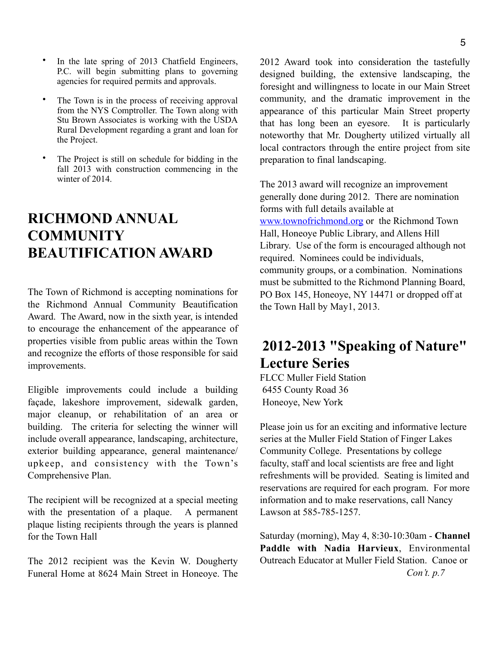- In the late spring of 2013 Chatfield Engineers, P.C. will begin submitting plans to governing agencies for required permits and approvals.
- The Town is in the process of receiving approval from the NYS Comptroller. The Town along with Stu Brown Associates is working with the USDA Rural Development regarding a grant and loan for the Project.
- The Project is still on schedule for bidding in the fall 2013 with construction commencing in the winter of 2014.

#### **RICHMOND ANNUAL COMMUNITY BEAUTIFICATION AWARD**

The Town of Richmond is accepting nominations for the Richmond Annual Community Beautification Award. The Award, now in the sixth year, is intended to encourage the enhancement of the appearance of properties visible from public areas within the Town and recognize the efforts of those responsible for said improvements.

Eligible improvements could include a building façade, lakeshore improvement, sidewalk garden, major cleanup, or rehabilitation of an area or building. The criteria for selecting the winner will include overall appearance, landscaping, architecture, exterior building appearance, general maintenance/ upkeep, and consistency with the Town's Comprehensive Plan.

The recipient will be recognized at a special meeting with the presentation of a plaque. A permanent plaque listing recipients through the years is planned for the Town Hall

The 2012 recipient was the Kevin W. Dougherty Funeral Home at 8624 Main Street in Honeoye. The 2012 Award took into consideration the tastefully designed building, the extensive landscaping, the foresight and willingness to locate in our Main Street community, and the dramatic improvement in the appearance of this particular Main Street property that has long been an eyesore. It is particularly noteworthy that Mr. Dougherty utilized virtually all local contractors through the entire project from site preparation to final landscaping.

The 2013 award will recognize an improvement generally done during 2012. There are nomination forms with full details available at [www.townofrichmond.org](http://www.townofrichmond.org) or the Richmond Town Hall, Honeoye Public Library, and Allens Hill Library. Use of the form is encouraged although not required. Nominees could be individuals, community groups, or a combination. Nominations must be submitted to the Richmond Planning Board, PO Box 145, Honeoye, NY 14471 or dropped off at the Town Hall by May1, 2013.

#### **2012-2013 "Speaking of Nature" Lecture Series**

FLCC Muller Field Station 6455 County Road 36 Honeoye, New York

Please join us for an exciting and informative lecture series at the Muller Field Station of Finger Lakes Community College. Presentations by college faculty, staff and local scientists are free and light refreshments will be provided. Seating is limited and reservations are required for each program. For more information and to make reservations, call Nancy Lawson at 585-785-1257.

Saturday (morning), May 4, 8:30-10:30am - **Channel Paddle with Nadia Harvieux**, Environmental Outreach Educator at Muller Field Station. Canoe or *Con't. p.7*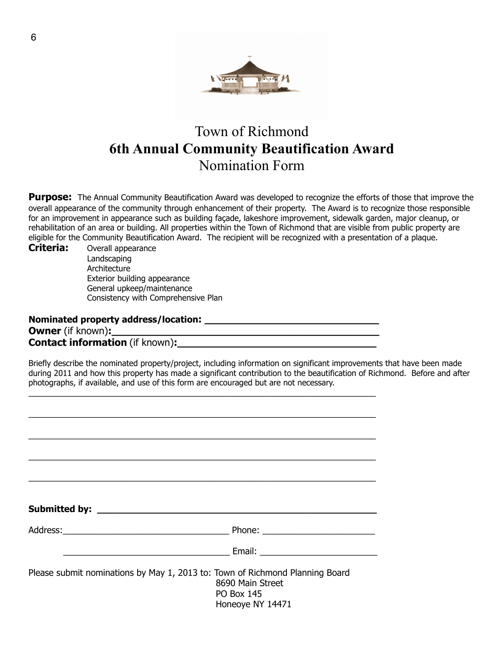

#### Town of Richmond **6th Annual Community Beautification Award** Nomination Form

**Purpose:** The Annual Community Beautification Award was developed to recognize the efforts of those that improve the overall appearance of the community through enhancement of their property. The Award is to recognize those responsible for an improvement in appearance such as building façade, lakeshore improvement, sidewalk garden, major cleanup, or rehabilitation of an area or building. All properties within the Town of Richmond that are visible from public property are eligible for the Community Beautification Award. The recipient will be recognized with a presentation of a plaque.

**Criteria:** Overall appearance Landscaping Architecture Exterior building appearance General upkeep/maintenance Consistency with Comprehensive Plan

Nominated property address/location: **Owner** (if known): **Contact information** (if known):

\_\_\_\_\_\_\_\_\_\_\_\_\_\_\_\_\_\_\_\_\_\_\_\_\_\_\_\_\_\_\_\_\_\_\_\_\_\_\_\_\_\_\_\_\_\_\_\_\_\_\_\_\_\_\_\_\_\_\_\_\_\_\_\_\_\_\_\_\_\_\_

Briefly describe the nominated property/project, including information on significant improvements that have been made during 2011 and how this property has made a significant contribution to the beautification of Richmond. Before and after photographs, if available, and use of this form are encouraged but are not necessary.

| Address: Phone: Phone: Phone: Phone: Phone: Phone: Phone: Phone: Phone: Phone: Phone: Phone: Phone: Phone: Phone: Phone: Phone: Phone: Phone: Phone: Phone: Phone: Phone: Phone: Phone: Phone: Phone: Phone: Phone: Phone: Pho |
|--------------------------------------------------------------------------------------------------------------------------------------------------------------------------------------------------------------------------------|
| Email: <u>___________________________</u>                                                                                                                                                                                      |
| Please submit nominations by May 1, 2013 to: Town of Richmond Planning Board<br>8690 Main Street<br><b>PO Box 145</b>                                                                                                          |
| Honeoye NY 14471                                                                                                                                                                                                               |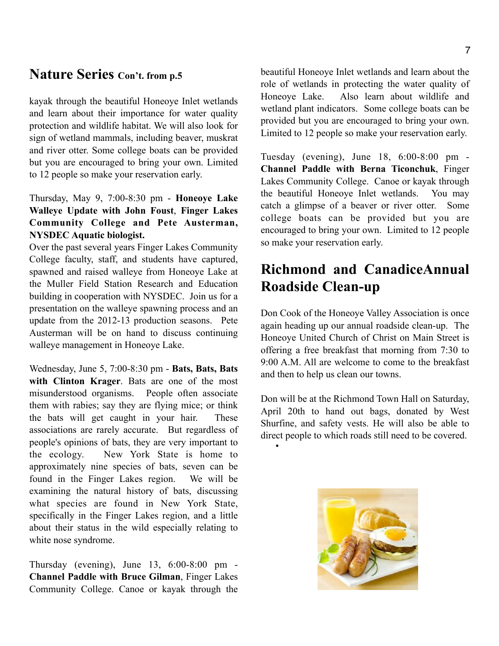#### **Nature Series Con't. from p.5**

kayak through the beautiful Honeoye Inlet wetlands and learn about their importance for water quality protection and wildlife habitat. We will also look for sign of wetland mammals, including beaver, muskrat and river otter. Some college boats can be provided but you are encouraged to bring your own. Limited to 12 people so make your reservation early.

#### Thursday, May 9, 7:00-8:30 pm - **Honeoye Lake Walleye Update with John Foust**, **Finger Lakes Community College and Pete Austerman, NYSDEC Aquatic biologist.**

Over the past several years Finger Lakes Community College faculty, staff, and students have captured, spawned and raised walleye from Honeoye Lake at the Muller Field Station Research and Education building in cooperation with NYSDEC. Join us for a presentation on the walleye spawning process and an update from the 2012-13 production seasons. Pete Austerman will be on hand to discuss continuing walleye management in Honeoye Lake.

Wednesday, June 5, 7:00-8:30 pm - **Bats, Bats, Bats with Clinton Krager**. Bats are one of the most misunderstood organisms. People often associate them with rabies; say they are flying mice; or think the bats will get caught in your hair. These associations are rarely accurate. But regardless of people's opinions of bats, they are very important to the ecology. New York State is home to approximately nine species of bats, seven can be found in the Finger Lakes region. We will be examining the natural history of bats, discussing what species are found in New York State, specifically in the Finger Lakes region, and a little about their status in the wild especially relating to white nose syndrome.

Thursday (evening), June 13, 6:00-8:00 pm - **Channel Paddle with Bruce Gilman**, Finger Lakes Community College. Canoe or kayak through the beautiful Honeoye Inlet wetlands and learn about the role of wetlands in protecting the water quality of Honeoye Lake. Also learn about wildlife and wetland plant indicators. Some college boats can be provided but you are encouraged to bring your own. Limited to 12 people so make your reservation early.

Tuesday (evening), June 18, 6:00-8:00 pm - **Channel Paddle with Berna Ticonchuk**, Finger Lakes Community College. Canoe or kayak through the beautiful Honeoye Inlet wetlands. You may catch a glimpse of a beaver or river otter. Some college boats can be provided but you are encouraged to bring your own. Limited to 12 people so make your reservation early.

#### **Richmond and CanadiceAnnual Roadside Clean-up**

Don Cook of the Honeoye Valley Association is once again heading up our annual roadside clean-up. The Honeoye United Church of Christ on Main Street is offering a free breakfast that morning from 7:30 to 9:00 A.M. All are welcome to come to the breakfast and then to help us clean our towns.

Don will be at the Richmond Town Hall on Saturday, April 20th to hand out bags, donated by West Shurfine, and safety vests. He will also be able to direct people to which roads still need to be covered.

•